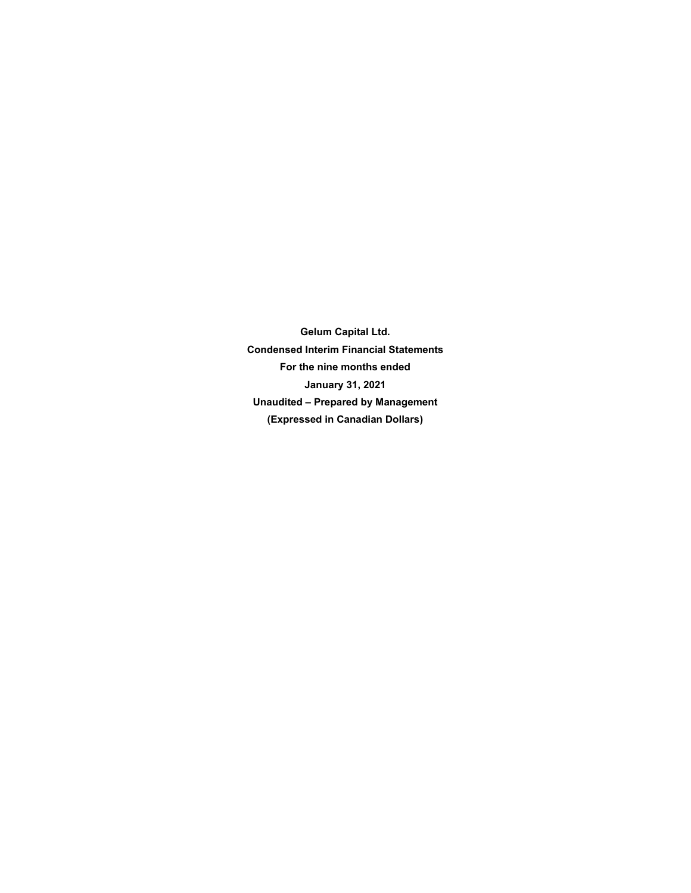**Gelum Capital Ltd. Condensed Interim Financial Statements For the nine months ended January 31, 2021 Unaudited – Prepared by Management (Expressed in Canadian Dollars)**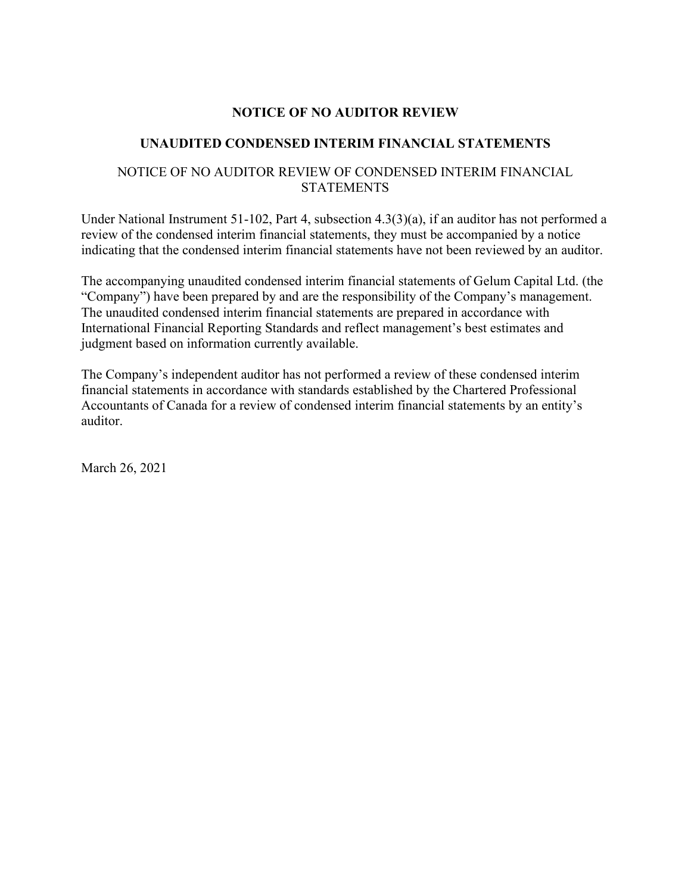## **NOTICE OF NO AUDITOR REVIEW**

## **UNAUDITED CONDENSED INTERIM FINANCIAL STATEMENTS**

## NOTICE OF NO AUDITOR REVIEW OF CONDENSED INTERIM FINANCIAL **STATEMENTS**

Under National Instrument 51-102, Part 4, subsection 4.3(3)(a), if an auditor has not performed a review of the condensed interim financial statements, they must be accompanied by a notice indicating that the condensed interim financial statements have not been reviewed by an auditor.

The accompanying unaudited condensed interim financial statements of Gelum Capital Ltd. (the "Company") have been prepared by and are the responsibility of the Company's management. The unaudited condensed interim financial statements are prepared in accordance with International Financial Reporting Standards and reflect management's best estimates and judgment based on information currently available.

The Company's independent auditor has not performed a review of these condensed interim financial statements in accordance with standards established by the Chartered Professional Accountants of Canada for a review of condensed interim financial statements by an entity's auditor.

March 26, 2021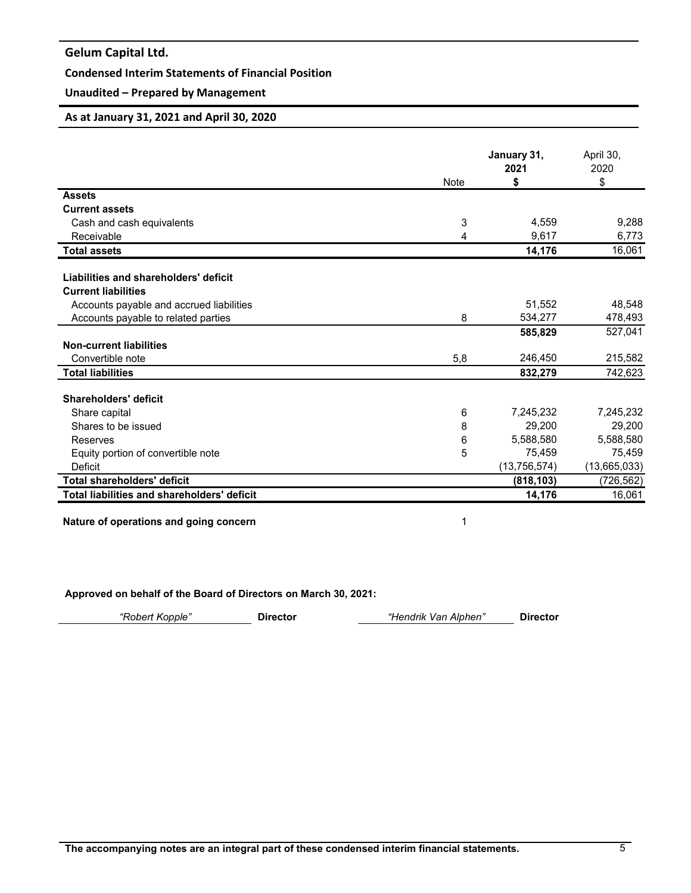## **Condensed Interim Statements of Financial Position**

## **Unaudited – Prepared by Management**

#### **As at January 31, 2021 and April 30, 2020**

|                                             |             | January 31,    | April 30,    |
|---------------------------------------------|-------------|----------------|--------------|
|                                             |             | 2021           | 2020         |
|                                             | <b>Note</b> | \$             | \$           |
| <b>Assets</b><br><b>Current assets</b>      |             |                |              |
|                                             |             | 4,559          | 9,288        |
| Cash and cash equivalents<br>Receivable     | 3<br>4      | 9,617          | 6,773        |
|                                             |             |                |              |
| <b>Total assets</b>                         |             | 14,176         | 16,061       |
| Liabilities and shareholders' deficit       |             |                |              |
| <b>Current liabilities</b>                  |             |                |              |
| Accounts payable and accrued liabilities    |             | 51,552         | 48,548       |
| Accounts payable to related parties         | 8           | 534,277        | 478,493      |
|                                             |             | 585,829        | 527,041      |
| <b>Non-current liabilities</b>              |             |                |              |
| Convertible note                            | 5,8         | 246,450        | 215,582      |
| <b>Total liabilities</b>                    |             | 832,279        | 742,623      |
|                                             |             |                |              |
| Shareholders' deficit                       |             |                |              |
| Share capital                               | 6           | 7,245,232      | 7,245,232    |
| Shares to be issued                         | 8           | 29,200         | 29,200       |
| Reserves                                    | 6           | 5,588,580      | 5,588,580    |
| Equity portion of convertible note          | 5           | 75.459         | 75,459       |
| Deficit                                     |             | (13, 756, 574) | (13,665,033) |
| <b>Total shareholders' deficit</b>          |             | (818, 103)     | (726, 562)   |
| Total liabilities and shareholders' deficit |             | 14,176         | 16,061       |
|                                             |             |                |              |

**Nature of operations and going concern** 1

**Approved on behalf of the Board of Directors on March 30, 2021:**

*"Robert Kopple"* **Director** *"Hendrik Van Alphen"* **Director**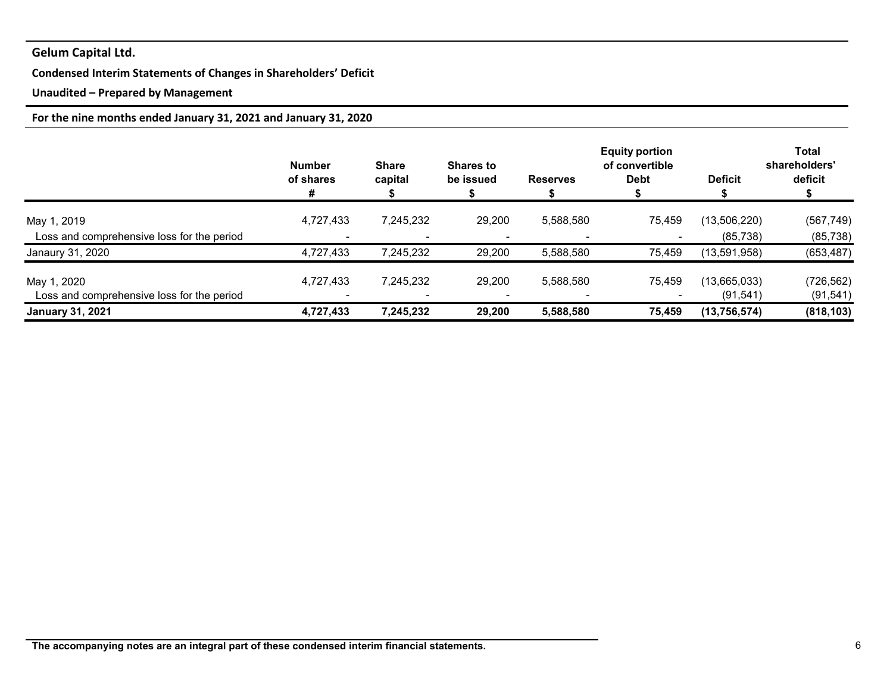## **Condensed Interim Statements of Changes in Shareholders' Deficit**

## **Unaudited – Prepared by Management**

## **For the nine months ended January 31, 2021 and January 31, 2020**

|                                            | <b>Number</b><br>of shares<br># | <b>Share</b><br>capital  | <b>Shares to</b><br>be issued | <b>Reserves</b> | <b>Equity portion</b><br>of convertible<br><b>Debt</b> | <b>Deficit</b> | <b>Total</b><br>shareholders'<br>deficit |
|--------------------------------------------|---------------------------------|--------------------------|-------------------------------|-----------------|--------------------------------------------------------|----------------|------------------------------------------|
| May 1, 2019                                | 4,727,433                       | 7,245,232                | 29,200                        | 5,588,580       | 75,459                                                 | (13,506,220)   | (567, 749)                               |
| Loss and comprehensive loss for the period |                                 |                          |                               |                 |                                                        | (85, 738)      | (85, 738)                                |
| Janaury 31, 2020                           | 4,727,433                       | 7,245,232                | 29,200                        | 5,588,580       | 75,459                                                 | (13,591,958)   | (653, 487)                               |
| May 1, 2020                                | 4,727,433                       | 7,245,232                | 29,200                        | 5,588,580       | 75,459                                                 | (13,665,033)   | (726, 562)                               |
| Loss and comprehensive loss for the period |                                 | $\overline{\phantom{a}}$ |                               |                 |                                                        | (91, 541)      | (91, 541)                                |
| <b>January 31, 2021</b>                    | 4,727,433                       | 7,245,232                | 29,200                        | 5,588,580       | 75,459                                                 | (13, 756, 574) | (818, 103)                               |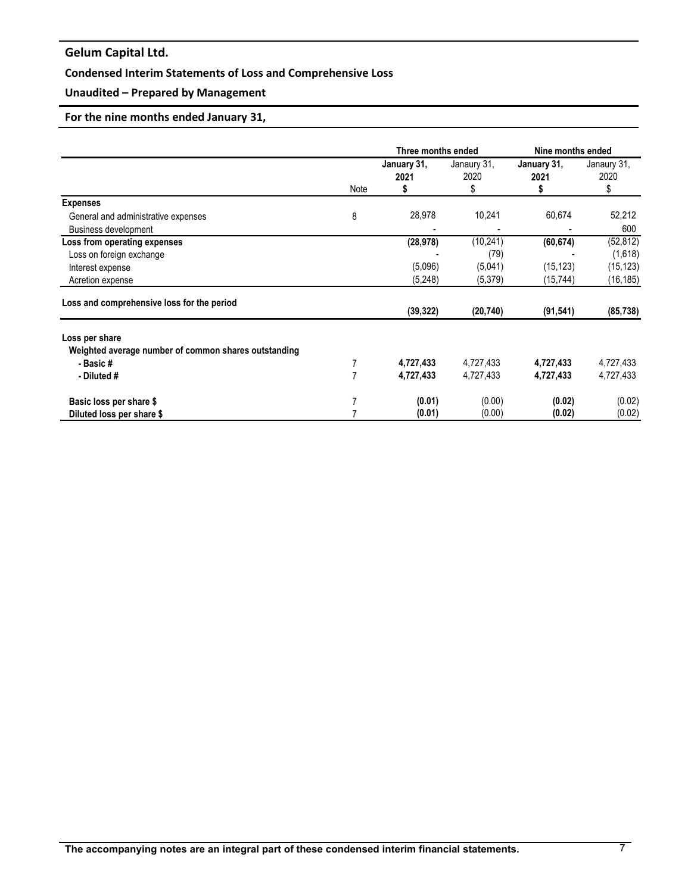## **Condensed Interim Statements of Loss and Comprehensive Loss**

## **Unaudited – Prepared by Management**

## **For the nine months ended January 31,**

|                                                                                                   |      | Three months ended              |                                         | Nine months ended                  |                                                |
|---------------------------------------------------------------------------------------------------|------|---------------------------------|-----------------------------------------|------------------------------------|------------------------------------------------|
|                                                                                                   | Note | January 31,<br>2021<br>S        | Janaury 31,<br>2020<br>\$               | January 31,<br>2021<br>5           | Janaury 31,<br>2020<br>\$                      |
| <b>Expenses</b>                                                                                   |      |                                 |                                         |                                    |                                                |
| General and administrative expenses<br><b>Business development</b>                                | 8    | 28,978                          | 10,241                                  | 60,674                             | 52,212<br>600                                  |
| Loss from operating expenses<br>Loss on foreign exchange<br>Interest expense<br>Acretion expense  |      | (28, 978)<br>(5,096)<br>(5,248) | (10, 241)<br>(79)<br>(5,041)<br>(5,379) | (60, 674)<br>(15, 123)<br>(15,744) | (52, 812)<br>(1,618)<br>(15, 123)<br>(16, 185) |
| Loss and comprehensive loss for the period                                                        |      | (39, 322)                       | (20, 740)                               | (91, 541)                          | (85, 738)                                      |
| Loss per share<br>Weighted average number of common shares outstanding<br>- Basic#<br>- Diluted # | 7    | 4,727,433<br>4,727,433          | 4,727,433<br>4,727,433                  | 4,727,433<br>4,727,433             | 4,727,433<br>4,727,433                         |
| Basic loss per share \$<br>Diluted loss per share \$                                              |      | (0.01)<br>(0.01)                | (0.00)<br>(0.00)                        | (0.02)<br>(0.02)                   | (0.02)<br>(0.02)                               |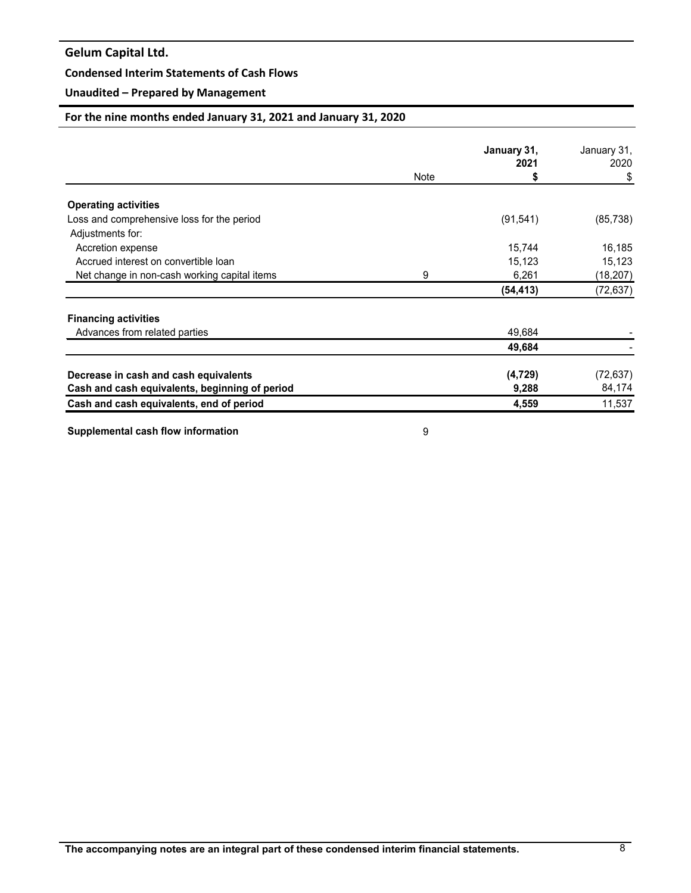### **Condensed Interim Statements of Cash Flows**

## **Unaudited – Prepared by Management**

## **For the nine months ended January 31, 2021 and January 31, 2020**

|                                                |      | January 31, | January 31, |
|------------------------------------------------|------|-------------|-------------|
|                                                |      | 2021        | 2020        |
|                                                | Note | \$          | \$          |
| <b>Operating activities</b>                    |      |             |             |
| Loss and comprehensive loss for the period     |      | (91, 541)   | (85, 738)   |
| Adjustments for:                               |      |             |             |
| Accretion expense                              |      | 15,744      | 16,185      |
| Accrued interest on convertible loan           |      | 15,123      | 15,123      |
| Net change in non-cash working capital items   | 9    | 6,261       | (18,207)    |
|                                                |      | (54, 413)   | (72, 637)   |
| <b>Financing activities</b>                    |      |             |             |
| Advances from related parties                  |      | 49,684      |             |
|                                                |      | 49,684      |             |
| Decrease in cash and cash equivalents          |      | (4, 729)    | (72, 637)   |
| Cash and cash equivalents, beginning of period |      | 9,288       | 84,174      |
| Cash and cash equivalents, end of period       |      | 4,559       | 11,537      |

**Supplemental cash flow information** 8 and 1 and 1 and 1 and 1 and 1 and 1 and 1 and 1 and 1 and 1 and 1 and 1 and 1 and 1 and 1 and 1 and 1 and 1 and 1 and 1 and 1 and 1 and 1 and 1 and 1 and 1 and 1 and 1 and 1 and 1 and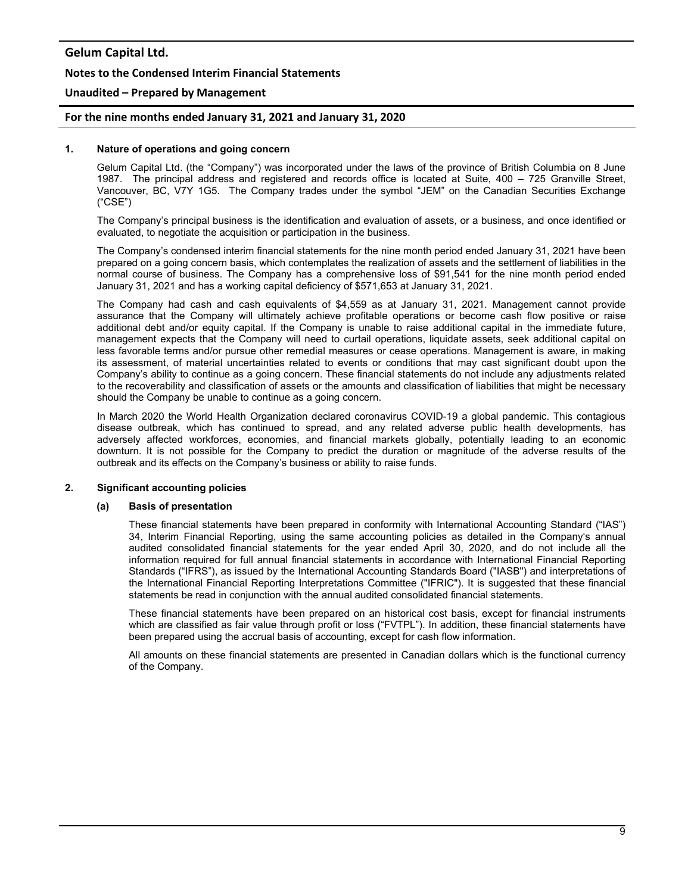#### **Notes to the Condensed Interim Financial Statements**

#### **Unaudited – Prepared by Management**

#### **For the nine months ended January 31, 2021 and January 31, 2020**

#### **1. Nature of operations and going concern**

Gelum Capital Ltd. (the "Company") was incorporated under the laws of the province of British Columbia on 8 June 1987. The principal address and registered and records office is located at Suite, 400 – 725 Granville Street, Vancouver, BC, V7Y 1G5. The Company trades under the symbol "JEM" on the Canadian Securities Exchange ("CSE")

The Company's principal business is the identification and evaluation of assets, or a business, and once identified or evaluated, to negotiate the acquisition or participation in the business.

The Company's condensed interim financial statements for the nine month period ended January 31, 2021 have been prepared on a going concern basis, which contemplates the realization of assets and the settlement of liabilities in the normal course of business. The Company has a comprehensive loss of \$91,541 for the nine month period ended January 31, 2021 and has a working capital deficiency of \$571,653 at January 31, 2021.

The Company had cash and cash equivalents of \$4,559 as at January 31, 2021. Management cannot provide assurance that the Company will ultimately achieve profitable operations or become cash flow positive or raise additional debt and/or equity capital. If the Company is unable to raise additional capital in the immediate future, management expects that the Company will need to curtail operations, liquidate assets, seek additional capital on less favorable terms and/or pursue other remedial measures or cease operations. Management is aware, in making its assessment, of material uncertainties related to events or conditions that may cast significant doubt upon the Company's ability to continue as a going concern. These financial statements do not include any adjustments related to the recoverability and classification of assets or the amounts and classification of liabilities that might be necessary should the Company be unable to continue as a going concern.

In March 2020 the World Health Organization declared coronavirus COVID-19 a global pandemic. This contagious disease outbreak, which has continued to spread, and any related adverse public health developments, has adversely affected workforces, economies, and financial markets globally, potentially leading to an economic downturn. It is not possible for the Company to predict the duration or magnitude of the adverse results of the outbreak and its effects on the Company's business or ability to raise funds.

#### **2. Significant accounting policies**

#### **(a) Basis of presentation**

These financial statements have been prepared in conformity with International Accounting Standard ("IAS") 34, Interim Financial Reporting, using the same accounting policies as detailed in the Company's annual audited consolidated financial statements for the year ended April 30, 2020, and do not include all the information required for full annual financial statements in accordance with International Financial Reporting Standards ("IFRS"), as issued by the International Accounting Standards Board ("IASB") and interpretations of the International Financial Reporting Interpretations Committee ("IFRIC"). It is suggested that these financial statements be read in conjunction with the annual audited consolidated financial statements.

These financial statements have been prepared on an historical cost basis, except for financial instruments which are classified as fair value through profit or loss ("FVTPL"). In addition, these financial statements have been prepared using the accrual basis of accounting, except for cash flow information.

All amounts on these financial statements are presented in Canadian dollars which is the functional currency of the Company.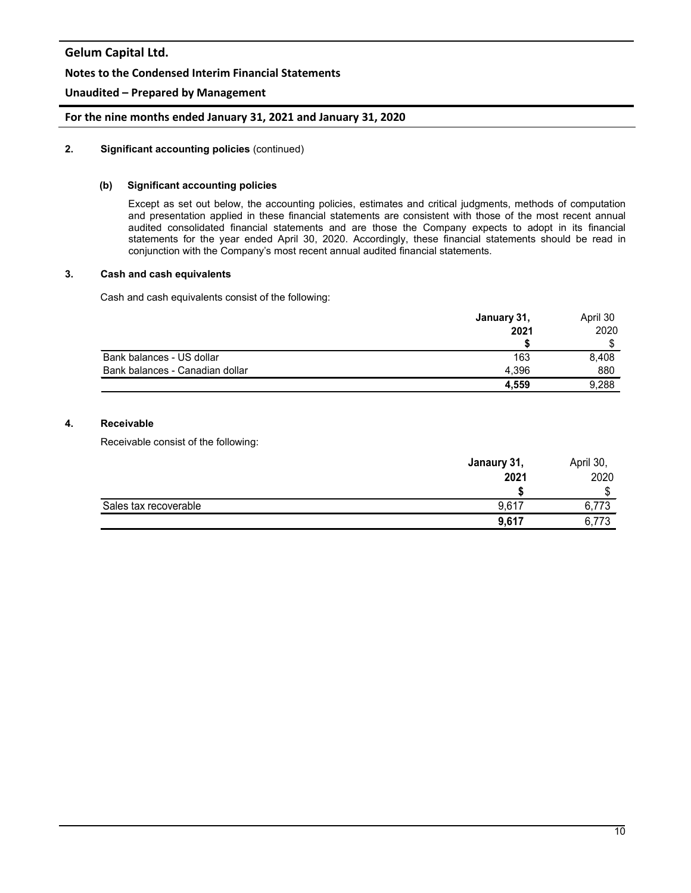## **Notes to the Condensed Interim Financial Statements**

## **Unaudited – Prepared by Management**

### **For the nine months ended January 31, 2021 and January 31, 2020**

#### **2. Significant accounting policies** (continued)

#### **(b) Significant accounting policies**

Except as set out below, the accounting policies, estimates and critical judgments, methods of computation and presentation applied in these financial statements are consistent with those of the most recent annual audited consolidated financial statements and are those the Company expects to adopt in its financial statements for the year ended April 30, 2020. Accordingly, these financial statements should be read in conjunction with the Company's most recent annual audited financial statements.

#### **3. Cash and cash equivalents**

Cash and cash equivalents consist of the following:

|                                 | January 31, | April 30 |
|---------------------------------|-------------|----------|
|                                 | 2021        | 2020     |
|                                 |             |          |
| Bank balances - US dollar       | 163         | 8,408    |
| Bank balances - Canadian dollar | 4.396       | 880      |
|                                 | 4,559       | 9,288    |

### **4. Receivable**

Receivable consist of the following:

|                       | Janaury 31, | April 30, |
|-----------------------|-------------|-----------|
|                       | 2021        | 2020      |
|                       |             | D         |
| Sales tax recoverable | 9,617       | 6,773     |
|                       | 9,617       | 6,773     |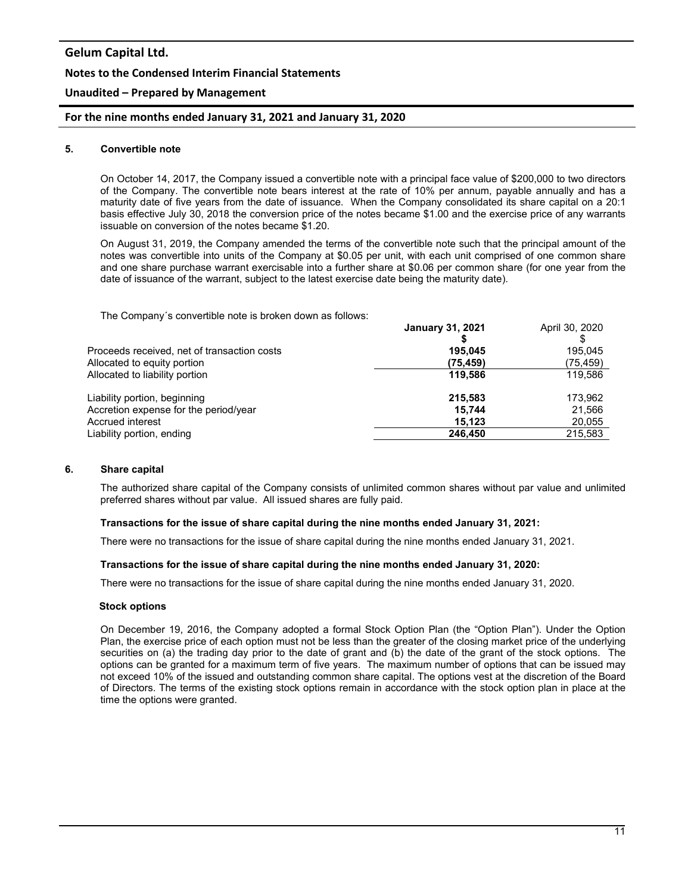# **Gelum Capital Ltd. Notes to the Condensed Interim Financial Statements**

## **Unaudited – Prepared by Management**

### **For the nine months ended January 31, 2021 and January 31, 2020**

#### **5. Convertible note**

On October 14, 2017, the Company issued a convertible note with a principal face value of \$200,000 to two directors of the Company. The convertible note bears interest at the rate of 10% per annum, payable annually and has a maturity date of five years from the date of issuance. When the Company consolidated its share capital on a 20:1 basis effective July 30, 2018 the conversion price of the notes became \$1.00 and the exercise price of any warrants issuable on conversion of the notes became \$1.20.

On August 31, 2019, the Company amended the terms of the convertible note such that the principal amount of the notes was convertible into units of the Company at \$0.05 per unit, with each unit comprised of one common share and one share purchase warrant exercisable into a further share at \$0.06 per common share (for one year from the date of issuance of the warrant, subject to the latest exercise date being the maturity date).

The Company´s convertible note is broken down as follows:

|                                             | <b>January 31, 2021</b> | April 30, 2020 |
|---------------------------------------------|-------------------------|----------------|
|                                             |                         |                |
| Proceeds received, net of transaction costs | 195.045                 | 195.045        |
| Allocated to equity portion                 | (75, 459)               | (75,459)       |
| Allocated to liability portion              | 119.586                 | 119.586        |
| Liability portion, beginning                | 215.583                 | 173,962        |
| Accretion expense for the period/year       | 15.744                  | 21,566         |
| Accrued interest                            | 15.123                  | 20,055         |
| Liability portion, ending                   | 246.450                 | 215,583        |
|                                             |                         |                |

#### **6. Share capital**

The authorized share capital of the Company consists of unlimited common shares without par value and unlimited preferred shares without par value. All issued shares are fully paid.

#### **Transactions for the issue of share capital during the nine months ended January 31, 2021:**

There were no transactions for the issue of share capital during the nine months ended January 31, 2021.

#### **Transactions for the issue of share capital during the nine months ended January 31, 2020:**

There were no transactions for the issue of share capital during the nine months ended January 31, 2020.

#### **Stock options**

On December 19, 2016, the Company adopted a formal Stock Option Plan (the "Option Plan"). Under the Option Plan, the exercise price of each option must not be less than the greater of the closing market price of the underlying securities on (a) the trading day prior to the date of grant and (b) the date of the grant of the stock options. The options can be granted for a maximum term of five years. The maximum number of options that can be issued may not exceed 10% of the issued and outstanding common share capital. The options vest at the discretion of the Board of Directors. The terms of the existing stock options remain in accordance with the stock option plan in place at the time the options were granted.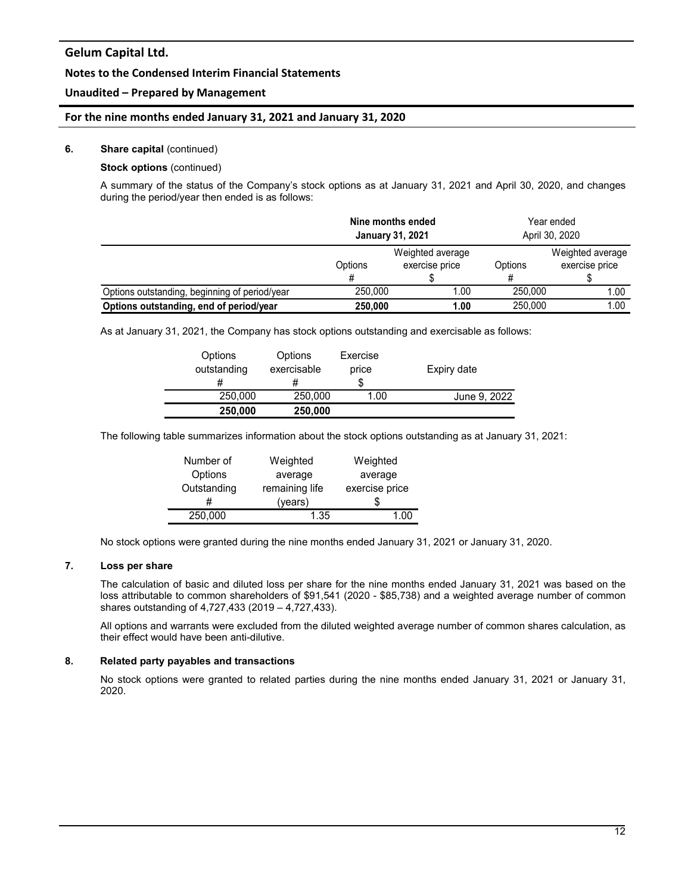### **Notes to the Condensed Interim Financial Statements**

### **Unaudited – Prepared by Management**

#### **For the nine months ended January 31, 2021 and January 31, 2020**

#### **6. Share capital** (continued)

## **Stock options** (continued)

A summary of the status of the Company's stock options as at January 31, 2021 and April 30, 2020, and changes during the period/year then ended is as follows:

|                                               | Nine months ended<br><b>January 31, 2021</b> |                                    | Year ended<br>April 30, 2020 |                                    |
|-----------------------------------------------|----------------------------------------------|------------------------------------|------------------------------|------------------------------------|
|                                               | Options<br>#                                 | Weighted average<br>exercise price | Options                      | Weighted average<br>exercise price |
| Options outstanding, beginning of period/year | 250.000                                      | 1.00                               | 250,000                      | 1.00                               |
| Options outstanding, end of period/year       | 250,000                                      | 1.00                               | 250,000                      | 1.00                               |

As at January 31, 2021, the Company has stock options outstanding and exercisable as follows:

| Options<br>outstanding | Options<br>exercisable<br># | Exercise<br>price | Expiry date  |
|------------------------|-----------------------------|-------------------|--------------|
| 250,000                | 250,000                     | 1.00              | June 9, 2022 |
| 250,000                | 250,000                     |                   |              |

The following table summarizes information about the stock options outstanding as at January 31, 2021:

| Number of   | Weighted       | Weighted       |
|-------------|----------------|----------------|
| Options     | average        | average        |
| Outstanding | remaining life | exercise price |
| #           | (years)        | Ж              |
| 250,000     | 1.35           | 1.00           |

No stock options were granted during the nine months ended January 31, 2021 or January 31, 2020.

## **7. Loss per share**

The calculation of basic and diluted loss per share for the nine months ended January 31, 2021 was based on the loss attributable to common shareholders of \$91,541 (2020 - \$85,738) and a weighted average number of common shares outstanding of 4,727,433 (2019 – 4,727,433).

All options and warrants were excluded from the diluted weighted average number of common shares calculation, as their effect would have been anti-dilutive.

#### **8. Related party payables and transactions**

No stock options were granted to related parties during the nine months ended January 31, 2021 or January 31, 2020.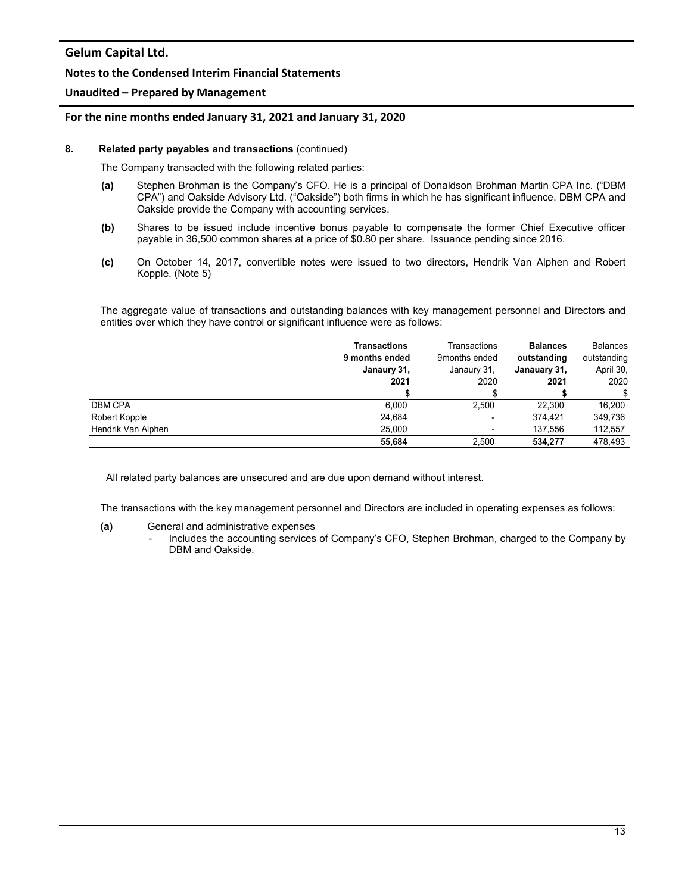#### **Notes to the Condensed Interim Financial Statements**

### **Unaudited – Prepared by Management**

#### **For the nine months ended January 31, 2021 and January 31, 2020**

#### **8. Related party payables and transactions** (continued)

The Company transacted with the following related parties:

- **(a)** Stephen Brohman is the Company's CFO. He is a principal of Donaldson Brohman Martin CPA Inc. ("DBM CPA") and Oakside Advisory Ltd. ("Oakside") both firms in which he has significant influence. DBM CPA and Oakside provide the Company with accounting services.
- **(b)** Shares to be issued include incentive bonus payable to compensate the former Chief Executive officer payable in 36,500 common shares at a price of \$0.80 per share. Issuance pending since 2016.
- **(c)** On October 14, 2017, convertible notes were issued to two directors, Hendrik Van Alphen and Robert Kopple. (Note 5)

The aggregate value of transactions and outstanding balances with key management personnel and Directors and entities over which they have control or significant influence were as follows:

|                    | <b>Transactions</b><br>9 months ended<br>Janaury 31,<br>2021 | Transactions<br>9months ended<br>Janaury 31,<br>2020 | <b>Balances</b><br>outstanding<br>Janauary 31,<br>2021 | <b>Balances</b><br>outstanding<br>April 30,<br>2020 |
|--------------------|--------------------------------------------------------------|------------------------------------------------------|--------------------------------------------------------|-----------------------------------------------------|
|                    |                                                              |                                                      |                                                        | \$                                                  |
| <b>DBM CPA</b>     | 6.000                                                        | 2.500                                                | 22,300                                                 | 16.200                                              |
| Robert Kopple      | 24,684                                                       | -                                                    | 374.421                                                | 349.736                                             |
| Hendrik Van Alphen | 25,000                                                       |                                                      | 137.556                                                | 112,557                                             |
|                    | 55.684                                                       | 2.500                                                | 534.277                                                | 478.493                                             |

All related party balances are unsecured and are due upon demand without interest.

The transactions with the key management personnel and Directors are included in operating expenses as follows:

#### **(a)** General and administrative expenses

- Includes the accounting services of Company's CFO, Stephen Brohman, charged to the Company by DBM and Oakside.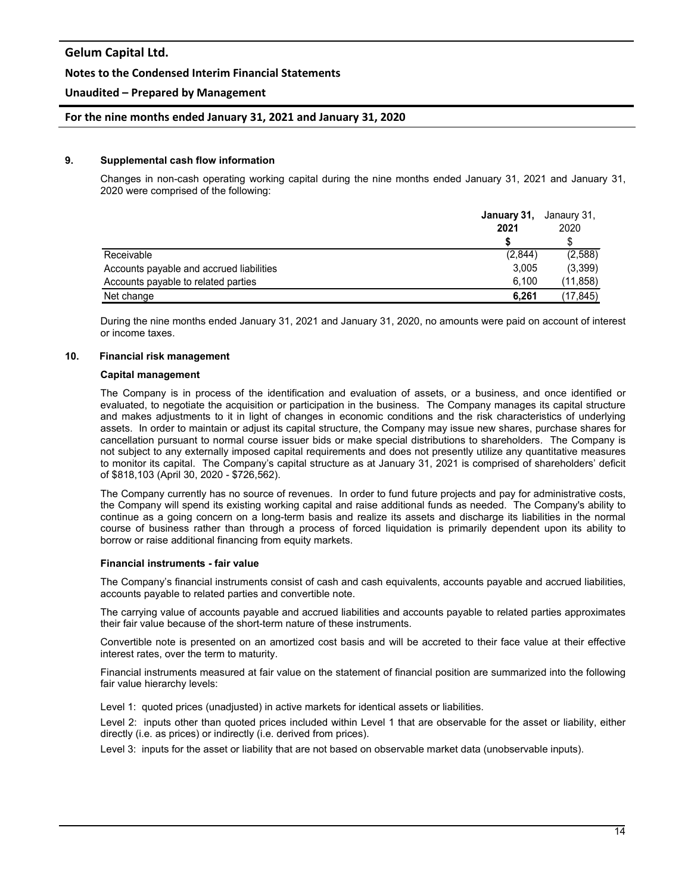#### **Notes to the Condensed Interim Financial Statements**

### **Unaudited – Prepared by Management**

#### **For the nine months ended January 31, 2021 and January 31, 2020**

#### **9. Supplemental cash flow information**

Changes in non-cash operating working capital during the nine months ended January 31, 2021 and January 31, 2020 were comprised of the following:

|                                          | January 31, | Janaury 31, |
|------------------------------------------|-------------|-------------|
|                                          | 2021        | 2020        |
|                                          |             |             |
| Receivable                               | (2,844)     | (2,588)     |
| Accounts payable and accrued liabilities | 3.005       | (3,399)     |
| Accounts payable to related parties      | 6.100       | (11, 858)   |
| Net change                               | 6,261       | (17, 845)   |

During the nine months ended January 31, 2021 and January 31, 2020, no amounts were paid on account of interest or income taxes.

#### **10. Financial risk management**

#### **Capital management**

The Company is in process of the identification and evaluation of assets, or a business, and once identified or evaluated, to negotiate the acquisition or participation in the business. The Company manages its capital structure and makes adjustments to it in light of changes in economic conditions and the risk characteristics of underlying assets. In order to maintain or adjust its capital structure, the Company may issue new shares, purchase shares for cancellation pursuant to normal course issuer bids or make special distributions to shareholders. The Company is not subject to any externally imposed capital requirements and does not presently utilize any quantitative measures to monitor its capital. The Company's capital structure as at January 31, 2021 is comprised of shareholders' deficit of \$818,103 (April 30, 2020 - \$726,562).

The Company currently has no source of revenues. In order to fund future projects and pay for administrative costs, the Company will spend its existing working capital and raise additional funds as needed. The Company's ability to continue as a going concern on a long-term basis and realize its assets and discharge its liabilities in the normal course of business rather than through a process of forced liquidation is primarily dependent upon its ability to borrow or raise additional financing from equity markets.

#### **Financial instruments - fair value**

The Company's financial instruments consist of cash and cash equivalents, accounts payable and accrued liabilities, accounts payable to related parties and convertible note.

The carrying value of accounts payable and accrued liabilities and accounts payable to related parties approximates their fair value because of the short-term nature of these instruments.

Convertible note is presented on an amortized cost basis and will be accreted to their face value at their effective interest rates, over the term to maturity.

Financial instruments measured at fair value on the statement of financial position are summarized into the following fair value hierarchy levels:

Level 1: quoted prices (unadjusted) in active markets for identical assets or liabilities.

Level 2: inputs other than quoted prices included within Level 1 that are observable for the asset or liability, either directly (i.e. as prices) or indirectly (i.e. derived from prices).

Level 3: inputs for the asset or liability that are not based on observable market data (unobservable inputs).